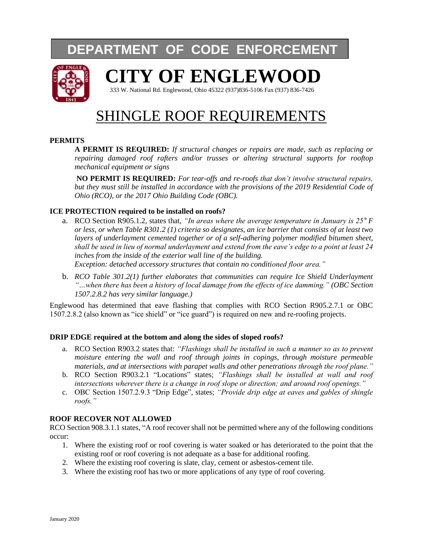## **DEPARTMENT OF CODE ENFORCEMENT**



# **CITY OF ENGLEWOOD**

333 W. National Rd. Englewood, Ohio 45322 (937)836-5106 Fax (937) 836-7426

## SHINGLE ROOF REQUIREMENTS

#### **PERMITS**

**A PERMIT IS REQUIRED:** *If structural changes or repairs are made, such as replacing or repairing damaged roof rafters and/or trusses or altering structural supports for rooftop mechanical equipment or signs*

**NO PERMIT IS REQUIRED:** *For tear-offs and re-roofs that don't involve structural repairs, but they must still be installed in accordance with the provisions of the 2019 Residential Code of Ohio (RCO), or the 2017 Ohio Building Code (OBC).*

#### **ICE PROTECTION required to be installed on roofs?**

- a. RCO Section R905.1.2, states that, *"In areas where the average temperature in January is*  $25^\circ F$ *or less, or when Table R301.2 (1) criteria so designates, an ice barrier that consists of at least two layers of underlayment cemented together or of a self-adhering polymer modified bitumen sheet, shall be used in lieu of normal underlayment and extend from the eave's edge to a point at least 24 inches from the inside of the exterior wall line of the building. Exception: detached accessory structures that contain no conditioned floor area."*
- b. *RCO Table 301.2(1) further elaborates that communities can require Ice Shield Underlayment "…when there has been a history of local damage from the effects of ice damming." (OBC Section 1507.2.8.2 has very similar language.)*

Englewood has determined that eave flashing that complies with RCO Section R905.2.7.1 or OBC 1507.2.8.2 (also known as "ice shield" or "ice guard") is required on new and re-roofing projects.

#### **DRIP EDGE required at the bottom and along the sides of sloped roofs?**

- a. RCO Section R903.2 states that: *"Flashings shall be installed in such a manner so as to prevent moisture entering the wall and roof through joints in copings, through moisture permeable materials, and at intersections with parapet walls and other penetrations through the roof plane."*
- b. RCO Section R903.2.1 "Locations" states; *"Flashings shall be installed at wall and roof intersections wherever there is a change in roof slope or direction; and around roof openings."*
- c. OBC Section 1507.2.9.3 "Drip Edge", states; *"Provide drip edge at eaves and gables of shingle roofs."*

#### **ROOF RECOVER NOT ALLOWED**

RCO Section 908.3.1.1 states, "A roof recover shall not be permitted where any of the following conditions occur:

- 1. Where the existing roof or roof covering is water soaked or has deteriorated to the point that the existing roof or roof covering is not adequate as a base for additional roofing.
- 2. Where the existing roof covering is slate, clay, cement or asbestos-cement tile.
- 3. Where the existing roof has two or more applications of any type of roof covering.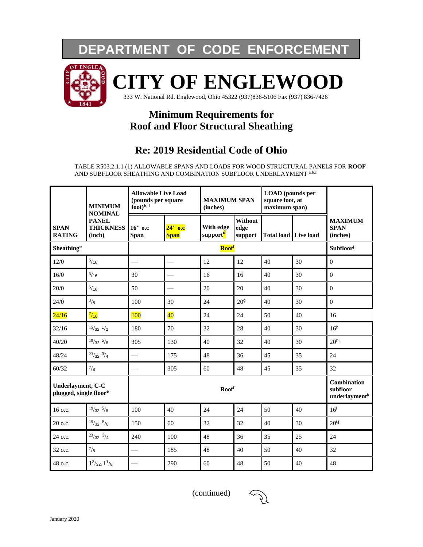## **DEPARTMENT OF CODE ENFORCEMENT**



# **CITY OF ENGLEWOOD**

333 W. National Rd. Englewood, Ohio 45322 (937)836-5106 Fax (937) 836-7426

### **Minimum Requirements for Roof and Floor Structural Sheathing**

### **Re: 2019 Residential Code of Ohio**

TABLE R503.2.1.1 (1) ALLOWABLE SPANS AND LOADS FOR WOOD STRUCTURAL PANELS FOR **ROOF** AND SUBFLOOR SHEATHING AND COMBINATION SUBFLOOR UNDERLAYMENT a,b,c

|                                                         | <b>MINIMUM</b>                                               | <b>Allowable Live Load</b><br>(pounds per square<br>$\text{foot}$ <sup>h, l</sup> |                          | <b>MAXIMUM SPAN</b><br>(inches)   |                            | <b>LOAD</b> (pounds per<br>square foot, at<br>maximum span) |    |                                                 |
|---------------------------------------------------------|--------------------------------------------------------------|-----------------------------------------------------------------------------------|--------------------------|-----------------------------------|----------------------------|-------------------------------------------------------------|----|-------------------------------------------------|
| <b>SPAN</b><br><b>RATING</b>                            | <b>NOMINAL</b><br><b>PANEL</b><br><b>THICKNESS</b><br>(inch) | 16" о.с<br><b>Span</b>                                                            | $24"$ o.c<br><b>Span</b> | With edge<br>support <sup>d</sup> | Without<br>edge<br>support | <b>Total load Live load</b>                                 |    | <b>MAXIMUM</b><br><b>SPAN</b><br>(inches)       |
| Sheathing <sup>e</sup>                                  |                                                              | <b>Roof</b> <sup>f</sup>                                                          |                          |                                   |                            |                                                             |    | Subfloor                                        |
| 12/0                                                    | $^{5/16}$                                                    |                                                                                   |                          | 12                                | 12                         | 40                                                          | 30 | $\boldsymbol{0}$                                |
| 16/0                                                    | $^{5/16}$                                                    | 30                                                                                |                          | 16                                | 16                         | 40                                                          | 30 | $\overline{0}$                                  |
| 20/0                                                    | $^{5/16}$                                                    | 50                                                                                |                          | 20                                | 20                         | 40                                                          | 30 | $\overline{0}$                                  |
| 24/0                                                    | $^{3}/_{8}$                                                  | 100                                                                               | 30                       | 24                                | 20 <sup>9</sup>            | 40                                                          | 30 | $\boldsymbol{0}$                                |
| 24/16                                                   | $\frac{7}{16}$                                               | 100                                                                               | $\overline{40}$          | 24                                | 24                         | 50                                                          | 40 | 16                                              |
| 32/16                                                   | 15/32, 1/2                                                   | 180                                                                               | 70                       | 32                                | 28                         | 40                                                          | 30 | 16 <sup>h</sup>                                 |
| 40/20                                                   | 19/32, 5/8                                                   | 305                                                                               | 130                      | 40                                | 32                         | 40                                                          | 30 | 20 <sup>h,i</sup>                               |
| 48/24                                                   | $^{23}/32, \frac{3}{4}$                                      |                                                                                   | 175                      | 48                                | 36                         | 45                                                          | 35 | 24                                              |
| 60/32                                                   | $^{7}/_{8}$                                                  | $\frac{1}{2}$                                                                     | 305                      | 60                                | 48                         | 45                                                          | 35 | 32                                              |
| Underlayment, C-C<br>plugged, single floor <sup>e</sup> |                                                              | Roof <sup>f</sup>                                                                 |                          |                                   |                            |                                                             |    | <b>Combination</b><br>subfloor<br>underlaymentk |
| 16 o.c.                                                 | 19/32, 5/8                                                   | 100                                                                               | 40                       | 24                                | 24                         | 50                                                          | 40 | 16 <sup>i</sup>                                 |
| 20 o.c.                                                 | 19/32, 5/8                                                   | 150                                                                               | 60                       | 32                                | 32                         | 40                                                          | 30 | $20^{i,j}$                                      |
| 24 o.c.                                                 | $^{23}/32, ^{3}/4$                                           | 240                                                                               | 100                      | 48                                | 36                         | 35                                                          | 25 | 24                                              |
| 32 o.c.                                                 | $^{7}/_8$                                                    |                                                                                   | 185                      | 48                                | 40                         | 50                                                          | 40 | 32                                              |
| 48 o.c.                                                 | $1^{3}/_{32}$ , $1^{1}/_{8}$                                 |                                                                                   | 290                      | 60                                | 48                         | 50                                                          | 40 | 48                                              |